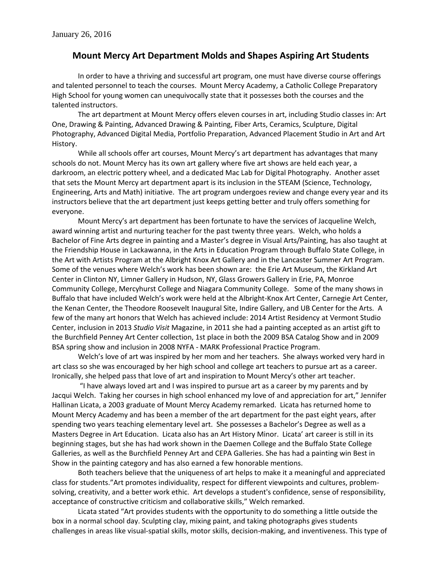## **Mount Mercy Art Department Molds and Shapes Aspiring Art Students**

In order to have a thriving and successful art program, one must have diverse course offerings and talented personnel to teach the courses. Mount Mercy Academy, a Catholic College Preparatory High School for young women can unequivocally state that it possesses both the courses and the talented instructors.

The art department at Mount Mercy offers eleven courses in art, including Studio classes in: Art One, Drawing & Painting, Advanced Drawing & Painting, Fiber Arts, Ceramics, Sculpture, Digital Photography, Advanced Digital Media, Portfolio Preparation, Advanced Placement Studio in Art and Art History.

While all schools offer art courses, Mount Mercy's art department has advantages that many schools do not. Mount Mercy has its own art gallery where five art shows are held each year, a darkroom, an electric pottery wheel, and a dedicated Mac Lab for Digital Photography. Another asset that sets the Mount Mercy art department apart is its inclusion in the STEAM (Science, Technology, Engineering, Arts and Math) initiative. The art program undergoes review and change every year and its instructors believe that the art department just keeps getting better and truly offers something for everyone.

Mount Mercy's art department has been fortunate to have the services of Jacqueline Welch, award winning artist and nurturing teacher for the past twenty three years. Welch, who holds a Bachelor of Fine Arts degree in painting and a Master's degree in Visual Arts/Painting, has also taught at the Friendship House in Lackawanna, in the Arts in Education Program through Buffalo State College, in the Art with Artists Program at the Albright Knox Art Gallery and in the Lancaster Summer Art Program. Some of the venues where Welch's work has been shown are: the Erie Art Museum, the Kirkland Art Center in Clinton NY, Limner Gallery in Hudson, NY, Glass Growers Gallery in Erie, PA, Monroe Community College, Mercyhurst College and Niagara Community College. Some of the many shows in Buffalo that have included Welch's work were held at the Albright-Knox Art Center, Carnegie Art Center, the Kenan Center, the Theodore Roosevelt Inaugural Site, Indire Gallery, and UB Center for the Arts. A few of the many art honors that Welch has achieved include: 2014 Artist Residency at Vermont Studio Center, inclusion in 2013 *Studio Visit* Magazine, in 2011 she had a painting accepted as an artist gift to the Burchfield Penney Art Center collection, 1st place in both the 2009 BSA Catalog Show and in 2009 BSA spring show and inclusion in 2008 NYFA - MARK Professional Practice Program.

Welch's love of art was inspired by her mom and her teachers. She always worked very hard in art class so she was encouraged by her high school and college art teachers to pursue art as a career. Ironically, she helped pass that love of art and inspiration to Mount Mercy's other art teacher.

"I have always loved art and I was inspired to pursue art as a career by my parents and by Jacqui Welch. Taking her courses in high school enhanced my love of and appreciation for art," Jennifer Hallinan Licata, a 2003 graduate of Mount Mercy Academy remarked. Licata has returned home to Mount Mercy Academy and has been a member of the art department for the past eight years, after spending two years teaching elementary level art. She possesses a Bachelor's Degree as well as a Masters Degree in Art Education. Licata also has an Art History Minor. Licata' art career is still in its beginning stages, but she has had work shown in the Daemen College and the Buffalo State College Galleries, as well as the Burchfield Penney Art and CEPA Galleries. She has had a painting win Best in Show in the painting category and has also earned a few honorable mentions.

Both teachers believe that the uniqueness of art helps to make it a meaningful and appreciated class for students."Art promotes individuality, respect for different viewpoints and cultures, problemsolving, creativity, and a better work ethic. Art develops a student's confidence, sense of responsibility, acceptance of constructive criticism and collaborative skills," Welch remarked.

Licata stated "Art provides students with the opportunity to do something a little outside the box in a normal school day. Sculpting clay, mixing paint, and taking photographs gives students challenges in areas like visual-spatial skills, motor skills, decision-making, and inventiveness. This type of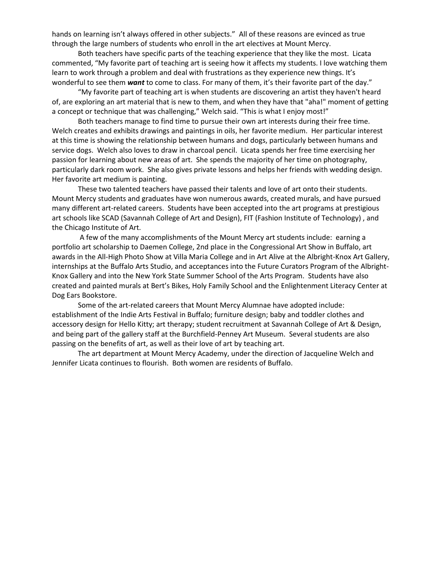hands on learning isn't always offered in other subjects." All of these reasons are evinced as true through the large numbers of students who enroll in the art electives at Mount Mercy.

Both teachers have specific parts of the teaching experience that they like the most. Licata commented, "My favorite part of teaching art is seeing how it affects my students. I love watching them learn to work through a problem and deal with frustrations as they experience new things. It's wonderful to see them **want** to come to class. For many of them, it's their favorite part of the day."

"My favorite part of teaching art is when students are discovering an artist they haven't heard of, are exploring an art material that is new to them, and when they have that "aha!" moment of getting a concept or technique that was challenging," Welch said. "This is what I enjoy most!"

Both teachers manage to find time to pursue their own art interests during their free time. Welch creates and exhibits drawings and paintings in oils, her favorite medium. Her particular interest at this time is showing the relationship between humans and dogs, particularly between humans and service dogs. Welch also loves to draw in charcoal pencil. Licata spends her free time exercising her passion for learning about new areas of art. She spends the majority of her time on photography, particularly dark room work. She also gives private lessons and helps her friends with wedding design. Her favorite art medium is painting.

These two talented teachers have passed their talents and love of art onto their students. Mount Mercy students and graduates have won numerous awards, created murals, and have pursued many different art-related careers. Students have been accepted into the art programs at prestigious art schools like SCAD (Savannah College of Art and Design), FIT (Fashion Institute of Technology) , and the Chicago Institute of Art.

A few of the many accomplishments of the Mount Mercy art students include: earning a portfolio art scholarship to Daemen College, 2nd place in the Congressional Art Show in Buffalo, art awards in the All-High Photo Show at Villa Maria College and in Art Alive at the Albright-Knox Art Gallery, internships at the Buffalo Arts Studio, and acceptances into the Future Curators Program of the Albright-Knox Gallery and into the New York State Summer School of the Arts Program. Students have also created and painted murals at Bert's Bikes, Holy Family School and the Enlightenment Literacy Center at Dog Ears Bookstore.

Some of the art-related careers that Mount Mercy Alumnae have adopted include: establishment of the Indie Arts Festival in Buffalo; furniture design; baby and toddler clothes and accessory design for Hello Kitty; art therapy; student recruitment at Savannah College of Art & Design, and being part of the gallery staff at the Burchfield-Penney Art Museum. Several students are also passing on the benefits of art, as well as their love of art by teaching art.

The art department at Mount Mercy Academy, under the direction of Jacqueline Welch and Jennifer Licata continues to flourish. Both women are residents of Buffalo.